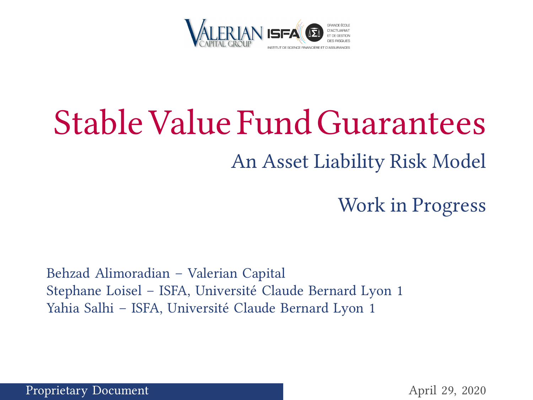

# <span id="page-0-0"></span>Stable Value FundGuarantees An Asset Liability Risk Model

Work in Progress

Behzad Alimoradian – Valerian Capital Stephane Loisel – ISFA, Université Claude Bernard Lyon 1 Yahia Salhi – ISFA, Université Claude Bernard Lyon 1

Proprietary Document April 29, 2020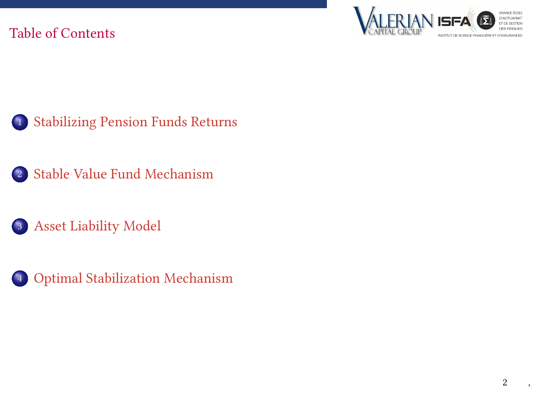### Table of Contents





- [Stable Value Fund Mechanism](#page-5-0)
- [Asset Liability Model](#page-9-0)



[Optimal Stabilization Mechanism](#page-12-0)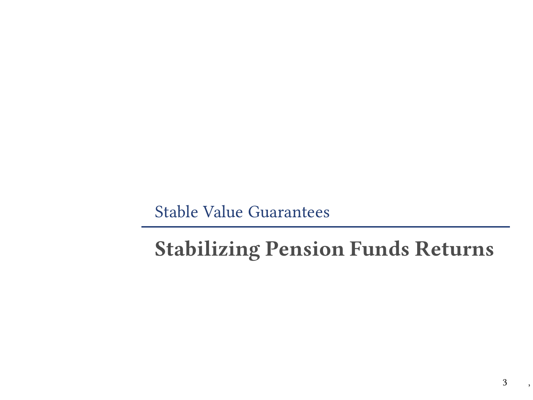# <span id="page-2-0"></span>Stabilizing Pension Funds Returns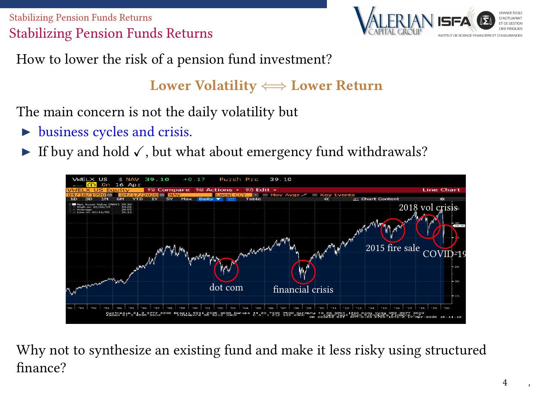[Stabilizing Pension Funds Returns](#page-2-0) Stabilizing Pension Funds Returns



How to lower the risk of a pension fund investment?

### Lower Volatility  $\Longleftrightarrow$  Lower Return

The main concern is not the daily volatility but

- $\triangleright$  business cycles and crisis.
- If buy and hold  $\checkmark$ , but what about emergency fund withdrawals?



Why not to synthesize an existing fund and make it less risky using structured finance?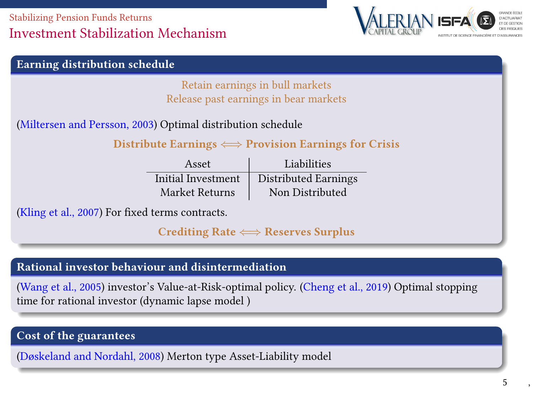#### [Stabilizing Pension Funds Returns](#page-2-0) Investment Stabilization Mechanism



| <b>Earning distribution schedule</b>                                    |                    |                      |  |  |
|-------------------------------------------------------------------------|--------------------|----------------------|--|--|
| Retain earnings in bull markets                                         |                    |                      |  |  |
| Release past earnings in bear markets                                   |                    |                      |  |  |
| (Miltersen and Persson, 2003) Optimal distribution schedule             |                    |                      |  |  |
| Distribute Earnings $\Longleftrightarrow$ Provision Earnings for Crisis |                    |                      |  |  |
|                                                                         | Asset              | Liabilities          |  |  |
|                                                                         | Initial Investment | Distributed Earnings |  |  |
|                                                                         | Market Returns     | Non Distributed      |  |  |
| (Kling et al., 2007) For fixed terms contracts.                         |                    |                      |  |  |
| Crediting Rate $\Longleftrightarrow$ Reserves Surplus                   |                    |                      |  |  |

#### Rational investor behaviour and disintermediation

[\(Wang et al., 2005\)](#page-18-0) investor's Value-at-Risk-optimal policy. [\(Cheng et al., 2019\)](#page-17-2) Optimal stopping time for rational investor (dynamic lapse model )

#### Cost of the guarantees

[\(Døskeland and Nordahl, 2008\)](#page-17-3) Merton type Asset-Liability model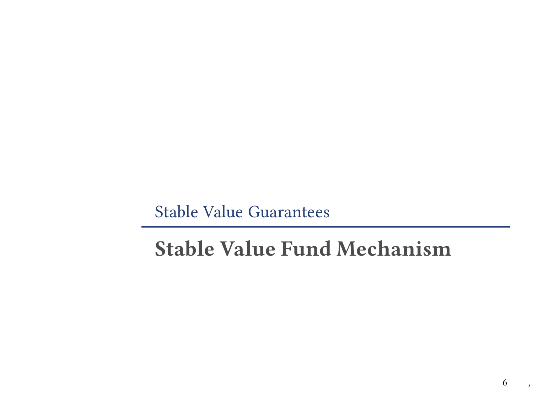# <span id="page-5-0"></span>Stable Value Fund Mechanism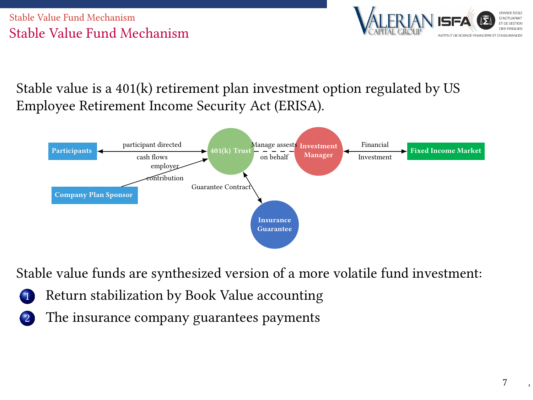#### [Stable Value Fund Mechanism](#page-5-0) Stable Value Fund Mechanism



Stable value is a  $401(k)$  retirement plan investment option regulated by US Employee Retirement Income Security Act (ERISA).



Stable value funds are synthesized version of a more volatile fund investment:

- Return stabilization by Book Value accounting
- The insurance company guarantees payments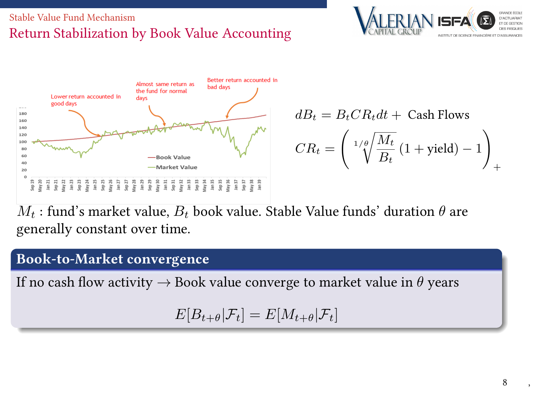#### [Stable Value Fund Mechanism](#page-5-0) Return Stabilization by Book Value Accounting





 $dB_t = B_t C R_t dt +$  Cash Flows  $CR_t =$  $\int_{1/\theta} \sqrt{M_t}$  $\frac{m}{B_t} (1 + \text{yield}) - 1$  $\setminus$ +

 $M_t$ : fund's market value,  $B_t$  book value. Stable Value funds' duration  $\theta$  are generally constant over time.

#### Book-to-Market convergence

If no cash flow activity  $\rightarrow$  Book value converge to market value in  $\theta$  years

 $E[B_{t+\theta}|\mathcal{F}_t] = E[M_{t+\theta}|\mathcal{F}_t]$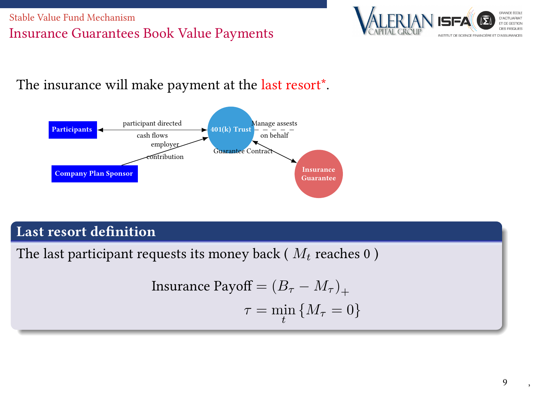#### [Stable Value Fund Mechanism](#page-5-0) Insurance Guarantees Book Value Payments



The insurance will make payment at the last resort\*.



#### Last resort definition

The last participant requests its money back ( $M_t$  reaches 0)

$$
\text{ Insurance Payoff} = (B_{\tau} - M_{\tau})_{+}
$$
\n
$$
\tau = \min_{t} \{ M_{\tau} = 0 \}
$$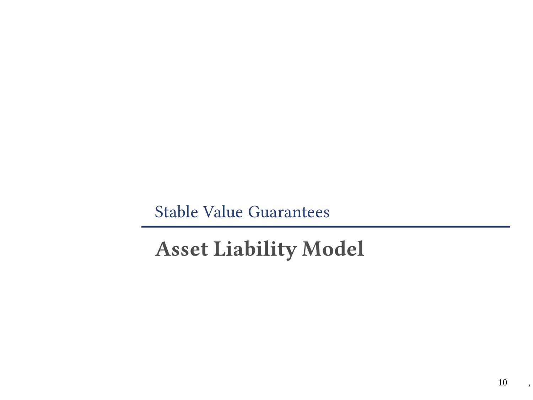# <span id="page-9-0"></span>Asset Liability Model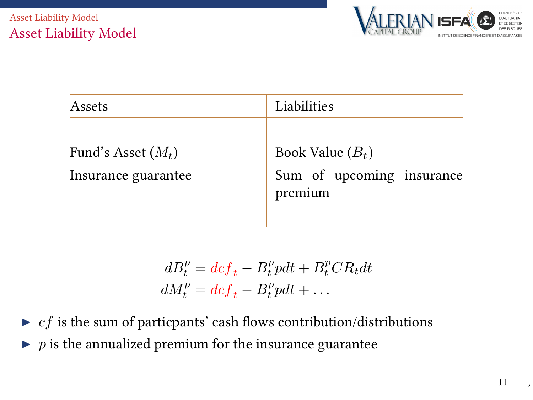

| Assets                                      | Liabilities                                                |  |  |
|---------------------------------------------|------------------------------------------------------------|--|--|
| Fund's Asset $(M_t)$<br>Insurance guarantee | Book Value $(B_t)$<br>Sum of upcoming insurance<br>premium |  |  |

$$
dB_t^p = dc f_t - B_t^p p dt + B_t^p C R_t dt
$$
  

$$
dM_t^p = dc f_t - B_t^p p dt + \dots
$$

 $\triangleright$  *cf* is the sum of particpants' cash flows contribution/distributions  $\blacktriangleright$  p is the annualized premium for the insurance guarantee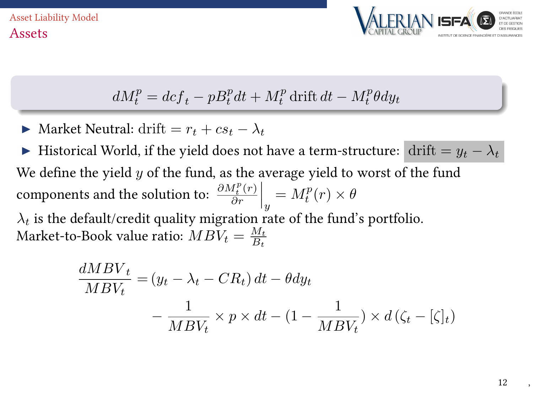

$$
dM_t^p = dcf_t - pB_t^p dt + M_t^p \text{ drift } dt - M_t^p \theta dy_t
$$

Market Neutral: drift =  $r_t + cs_t - \lambda_t$ 

Historical World, if the yield does not have a term-structure: drift =  $y_t - \lambda_t$ We define the yield  $y$  of the fund, as the average yield to worst of the fund components and the solution to:  $\frac{\partial M_t^p(r)}{\partial r}$  $\frac{d_t^p(r)}{\partial r}\Big|_y = M_t^p(r) \times \theta$  $\lambda_t$  is the default/credit quality migration rate of the fund's portfolio. Market-to-Book value ratio:  $MBV_t = \frac{M_t}{B_t}$ 

$$
\frac{dMBV_t}{MBV_t} = (y_t - \lambda_t - CR_t) dt - \theta dy_t
$$

$$
- \frac{1}{MBV_t} \times p \times dt - (1 - \frac{1}{MBV_t}) \times d(\zeta_t - [\zeta]_t)
$$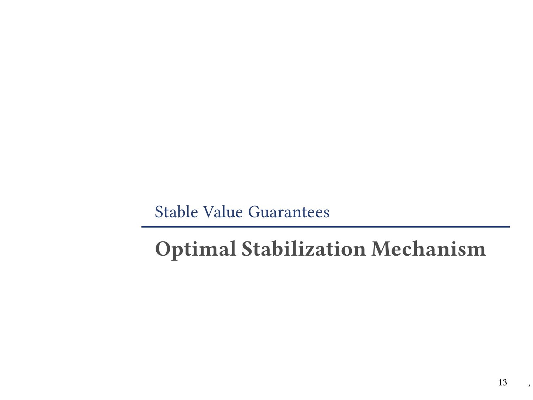# <span id="page-12-0"></span>Optimal Stabilization Mechanism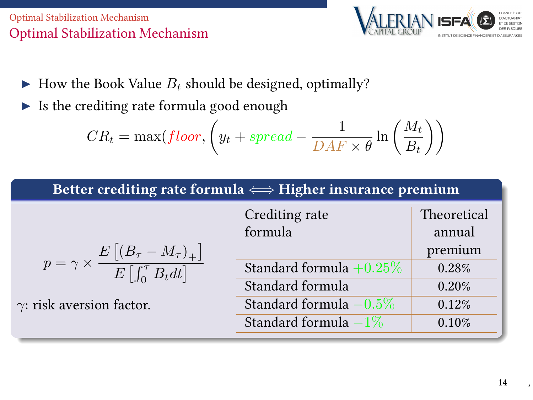#### [Optimal Stabilization Mechanism](#page-12-0) Optimal Stabilization Mechanism



- $\blacktriangleright$  How the Book Value  $B_t$  should be designed, optimally?
- $\triangleright$  Is the crediting rate formula good enough

$$
CR_t = \max(floor, \left(y_t + spread - \frac{1}{DAF \times \theta} \ln\left(\frac{M_t}{B_t}\right)\right)
$$

#### Better crediting rate formula  $\Longleftrightarrow$  Higher insurance premium

|                                                                                                                       | Crediting rate             | Theoretical |
|-----------------------------------------------------------------------------------------------------------------------|----------------------------|-------------|
|                                                                                                                       | formula                    | annual      |
| $p = \gamma \times \frac{E\left[\left(B_{\tau} - M_{\tau}\right)_{+}\right]}{E\left[\int_{0}^{\tau} B_{t} dt\right]}$ |                            | premium     |
|                                                                                                                       | Standard formula $+0.25\%$ | 0.28%       |
|                                                                                                                       | Standard formula           | 0.20%       |
| $\gamma$ : risk aversion factor.                                                                                      | Standard formula $-0.5\%$  | 0.12%       |
|                                                                                                                       | Standard formula $-1\%$    | 0.10%       |
|                                                                                                                       |                            |             |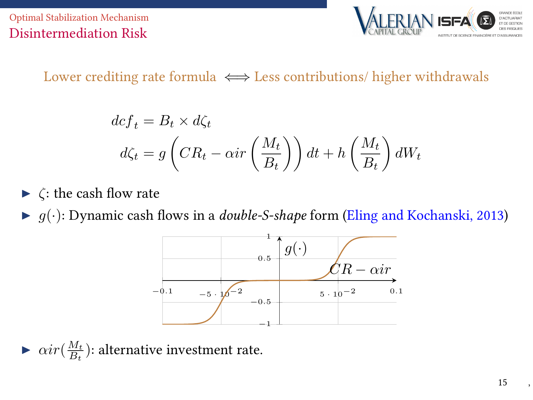[Optimal Stabilization Mechanism](#page-12-0) Disintermediation Risk



### Lower crediting rate formula  $\iff$  Less contributions/ higher withdrawals

$$
dcf_t = B_t \times d\zeta_t
$$
  

$$
d\zeta_t = g\left(CR_t - \alpha ir\left(\frac{M_t}{B_t}\right)\right)dt + h\left(\frac{M_t}{B_t}\right)dW_t
$$

 $\blacktriangleright$   $\zeta$ : the cash flow rate

 $\blacktriangleright$   $g(\cdot)$ : Dynamic cash flows in a *double-S-shape* form [\(Eling and Kochanski, 2013\)](#page-17-4)



 $\blacktriangleright$   $\alpha ir(\frac{M_t}{B_t})$ : alternative investment rate.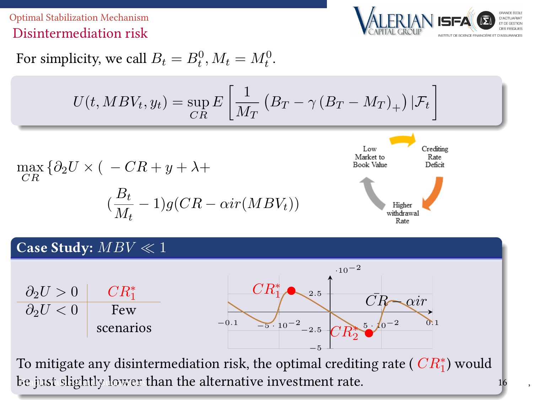[Optimal Stabilization Mechanism](#page-12-0) Disintermediation risk



For simplicity, we call 
$$
B_t = B_t^0
$$
,  $M_t = M_t^0$ .

$$
U(t, MBV_t, y_t) = \sup_{CR} E\left[\frac{1}{M_T} \left(B_T - \gamma (B_T - M_T)_+\right) | \mathcal{F}_t\right]
$$

$$
\max_{CR} \{ \partial_2 U \times ( -CR + y + \lambda +
$$

$$
(\frac{B_t}{M_t} - 1)g(CR - \alpha ir(MBV_t))
$$



#### Case Study:  $MBV \ll 1$

 $\partial_2 U > 0$  $\frac{CR_1^*}{Few}$  $\overline{\partial_2 U}$  < 0 scenarios  $-0.1$   $-5.10^{-2}$ −5 −2.5 2.5 ·10−2  $CR_{2}^{\ast}$ 2  $CR_1^*$  $CR \rightarrow \alpha ir$ 

To mitigate any disintermediation risk, the optimal crediting rate (  $CR_1^*$ ) would [be just slightly lower t](#page-0-0)han the alternative investment rate.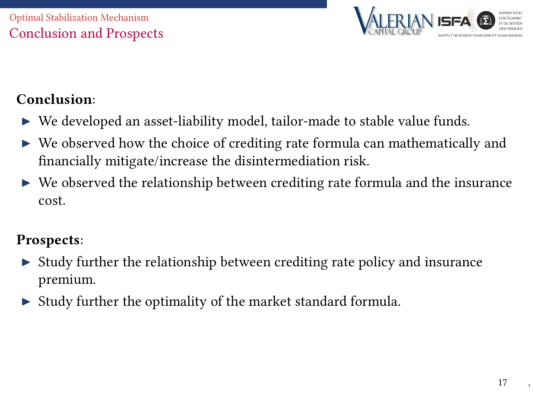

## Conclusion:

- $\triangleright$  We developed an asset-liability model, tailor-made to stable value funds.
- $\triangleright$  We observed how the choice of crediting rate formula can mathematically and nancially mitigate/increase the disintermediation risk.
- $\triangleright$  We observed the relationship between crediting rate formula and the insurance cost.

### Prospects:

- $\triangleright$  Study further the relationship between crediting rate policy and insurance premium.
- $\triangleright$  Study further the optimality of the market standard formula.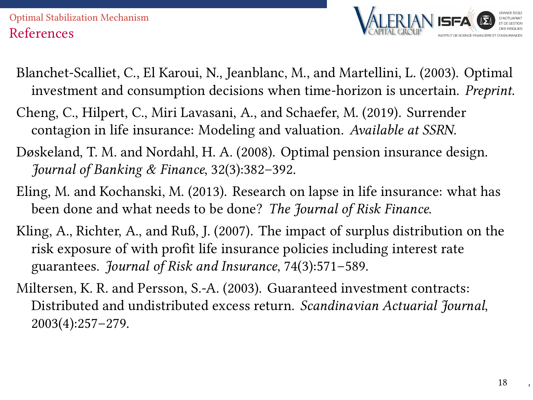#### [Optimal Stabilization Mechanism](#page-12-0) References



- Blanchet-Scalliet, C., El Karoui, N., Jeanblanc, M., and Martellini, L. (2003). Optimal investment and consumption decisions when time-horizon is uncertain. Preprint.
- <span id="page-17-2"></span>Cheng, C., Hilpert, C., Miri Lavasani, A., and Schaefer, M. (2019). Surrender contagion in life insurance: Modeling and valuation. Available at SSRN.
- <span id="page-17-3"></span>Døskeland, T. M. and Nordahl, H. A. (2008). Optimal pension insurance design. Journal of Banking & Finance, 32(3):382–392.
- <span id="page-17-4"></span>Eling, M. and Kochanski, M. (2013). Research on lapse in life insurance: what has been done and what needs to be done? The Journal of Risk Finance.
- <span id="page-17-1"></span>Kling, A., Richter, A., and Ruß, J. (2007). The impact of surplus distribution on the risk exposure of with profit life insurance policies including interest rate guarantees. Journal of Risk and Insurance, 74(3):571–589.
- <span id="page-17-0"></span>Miltersen, K. R. and Persson, S.-A. (2003). Guaranteed investment contracts: Distributed and undistributed excess return. Scandinavian Actuarial Journal, 2003(4):257–279.